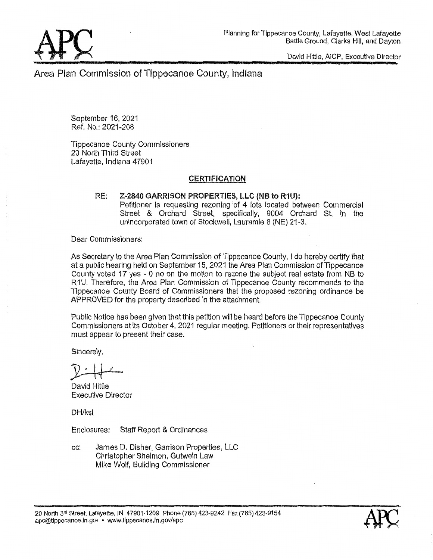David **Hittle.** AICP, Executive Director

Area Plan **Commission** of Tippecanoe County, **Indiana** 

September 16, 2021 Ref. No.: 2021—208

Tippecanoe County **Commissioners**  20 **North** Third Street **Lafayette,** Indiana 47901

## **CERTIFICATION**

#### RE: **Z-2840 GARRISON PROPERTIES, LLC (NB to R1U):** Petitioner is requesting rezoning 'of 4 **lots located** between Commercial Street *&* Orchard **\$traet,** specifically, 9004 Orchard St. in the unincorporated town of Stockwell, Lauramie 8 (NE) 21-3.

Dear **Commissioners:** 

As Secretary to the **Area** Plan **Commission** of Tippecanoe County, I do hereby certify that at a public hearing held on September 15. 2021 the Area Plan **Commission** of Tippecanoe **County** voted 17 yes **-** 0 no on the motion to rezone the subject **real estate** from NB to **R1U.** Therefore, the Area Plan **Commission** of Tippecanoe County recommends to the Tippecanoe County Board of Commissioners that the proposed rezoning ardinance be APPROVED for the **property described** in the **attachment.** 

Publlc Notice has been given **that** this petition will be heard before the Tippecanoe **County**  Commissioners at its October 4, 2021 regular meeting. Petitioners or their representatives must appear to present their case.

Sincerely,

David Hittle Executive Director

**DH/ksl** 

**Enclosures:** Staff Report & Ordinances

cc: James D. **Disher,** Garrison Properties, LLC **Christopher Shelmon, Gutwein Law** Mike **Wolf,** Buildimg **Commissioner** 

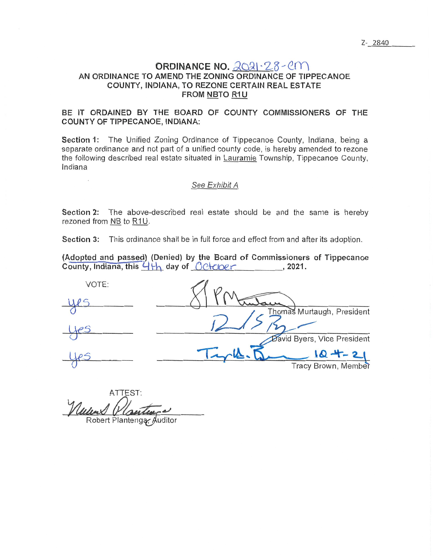# ORDINANCE NO. 2021-28-CM AN ORDINANCE TO AMEND THE ZONING ORDINANCE OF TIPPECANOE COUNTY, INDIANA, TO REZONE CERTAIN REAL ESTATE FROM NBTO R1U

# BE IT ORDAINED BY THE BOARD OF COUNTY COMMISSIONERS OF THE **COUNTY OF TIPPECANOE, INDIANA:**

Section 1: The Unified Zoning Ordinance of Tippecanoe County, Indiana, being a separate ordinance and not part of a unified county code, is hereby amended to rezone the following described real estate situated in Lauramie Township, Tippecanoe County, Indiana

#### See Exhibit A

Section 2: The above-described real estate should be and the same is hereby rezoned from NB to R1U.

Section 3: This ordinance shall be in full force and effect from and after its adoption.

(Adopted and passed) (Denied) by the Board of Commissioners of Tippecanoe  $\overline{\text{Country, Indiana, this 4}}$  day of  $\overline{O}\text{C}$   $\overline{\text{C}^{\text{2021}}}$ , 2021.

| VOTE: |                             |
|-------|-----------------------------|
|       |                             |
|       | Thomas Murtaugh, President  |
|       |                             |
|       | David Byers, Vice President |
|       | $10 + -21$                  |
|       | Tracy Brown, Member         |

ATTEST: Nelens G Robert Plantenga, Auditor

Z- 2840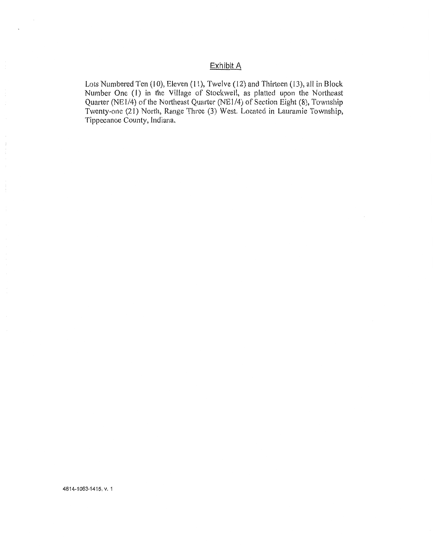# Exhibit A

Lots Numbered Ten (10), Eleven (11), Twelve (12) and Thirteen (13), all in Block Number One (1) in the **Village** of Stockwell, as platted upon the Northeast Quarter (NE1/4) of the Northeast Quarter (NE1/4) of Section Eight (8), Township Twenty~one (21) **North,** Range Three (3) West. Located in Lauramie Township, Tippecanoe County, Indiana'

**4814—1063-1415.** V. **1**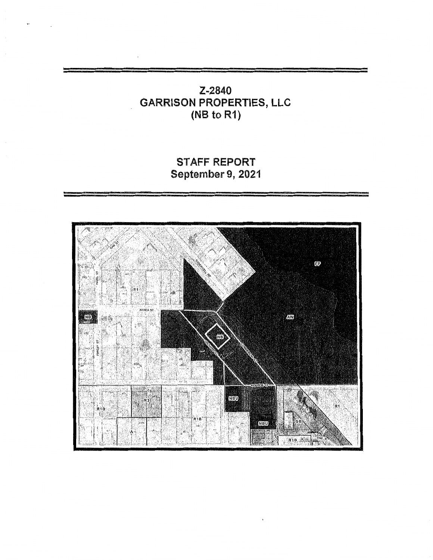# **Z-284O**  *.* **GARRISON PROPERTIES, LLC (NB to R1) LLC**<br>
<u>\_\_\_\_\_\_\_\_\_\_\_\_\_\_\_\_\_\_\_\_\_\_\_\_</u>

STAFF REPORT **September 9,** 2021

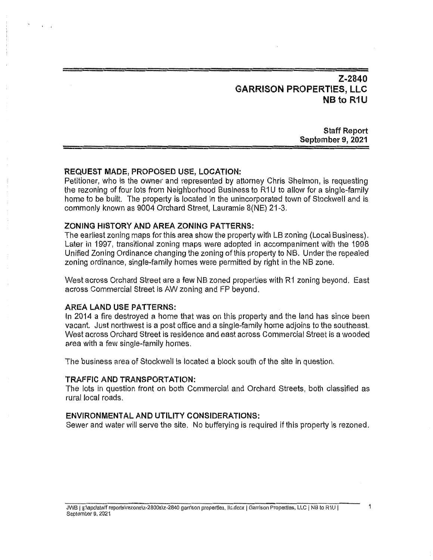# **Z-2840 GARRISON PROPERTIES,** LLC NB to R1U

**Staff Report September** 9, **2021** 

#### **REQUEST MADE, PROPOSED USE, LOCATION:**

**Petitioner,** who is the owner and represented by **attorney** Chris Shelmon, is **requesting**  the rezoning of four **lots** from Neighborhood **Business** to R1U to allow for **a** single-family home to be built. The property is located in the **unincorporated** town of Stockwell and is commonly known as 9004 Orchard Street, Lauramie 8(NE) 21-3.

#### ZONING **HISTORY** AND AREA **ZONING PATTERNS:**

The **earliest** zoning maps for **this area show** the property with LB zoning (Local Business). Later in 1997, transitional zoning maps were adopted in accompaniment with the 1998 Unified Zoning Ordinance changing the zoning of **this** property to NB. Under the repealed zoning ordinance, **single-family** homes were permitted by **right** in the NB zone.

West across Orchard Street are a few NB zoned properties with R1 zoning beyond. East **across** Commercial Street ls AW zoning and FP beyond.

#### AREA LAND USE PATTERNS:

In 2014 *a* **fire destroyed** a home **that** was on **this** property and the land has since been vacant. Just northwest is a post office and a single-family home adjoins to the southeast. **West across** Orchard **Street** is residence and east **across** Commercial Street is a wooded area with a few **single-family** homes.

The **business area** of Stockwell is located a block **south** of the **site** in question.

#### **TRAFFIC** AND TRANSPORTATION:

**"The** lots in question front on both Commercial and Orchard Streets, **both classified** as rural local roads.

#### ENVIRONMENTAL AND **UTILITY** CONSIDERATIONS:

Sewer and water will serve the **site.** No bufferying is **required** if **this** property is rezoned.